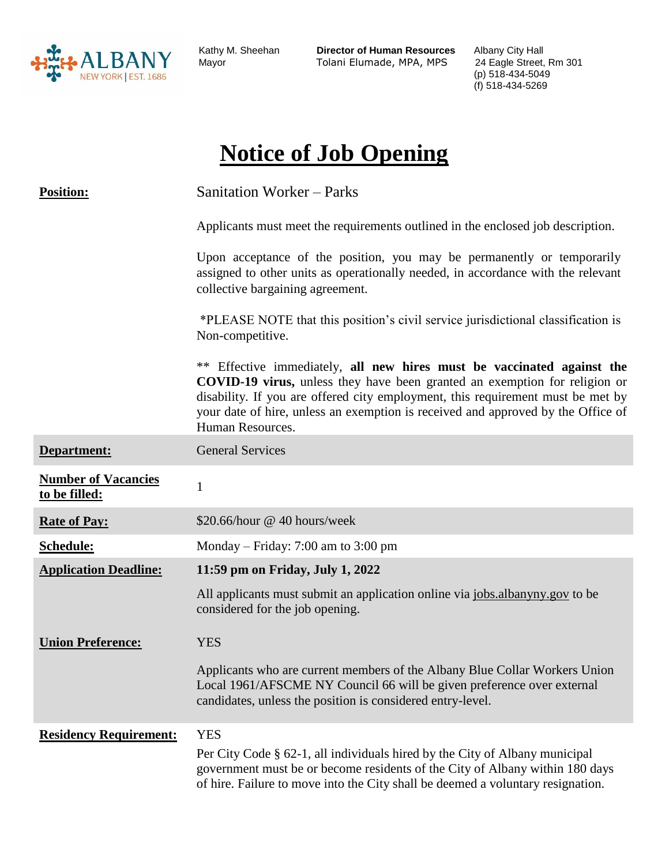

Kathy M. Sheehan

Kathy M. Sheehan **Director of Human Resources** Albany City Hall Tolani Elumade, MPA, MPS

(p) 518-434-5049 (f) 518-434-5269

# **Notice of Job Opening**

| <b>Position:</b>                            | <b>Sanitation Worker – Parks</b>                                                                                                                                                                                                                                                                                                                          |  |
|---------------------------------------------|-----------------------------------------------------------------------------------------------------------------------------------------------------------------------------------------------------------------------------------------------------------------------------------------------------------------------------------------------------------|--|
|                                             | Applicants must meet the requirements outlined in the enclosed job description.                                                                                                                                                                                                                                                                           |  |
|                                             | Upon acceptance of the position, you may be permanently or temporarily<br>assigned to other units as operationally needed, in accordance with the relevant<br>collective bargaining agreement.                                                                                                                                                            |  |
|                                             | *PLEASE NOTE that this position's civil service jurisdictional classification is<br>Non-competitive.                                                                                                                                                                                                                                                      |  |
|                                             | Effective immediately, all new hires must be vaccinated against the<br>**<br><b>COVID-19 virus,</b> unless they have been granted an exemption for religion or<br>disability. If you are offered city employment, this requirement must be met by<br>your date of hire, unless an exemption is received and approved by the Office of<br>Human Resources. |  |
| Department:                                 | <b>General Services</b>                                                                                                                                                                                                                                                                                                                                   |  |
| <b>Number of Vacancies</b><br>to be filled: | $\mathbf{1}$                                                                                                                                                                                                                                                                                                                                              |  |
| <b>Rate of Pay:</b>                         | \$20.66/hour @ 40 hours/week                                                                                                                                                                                                                                                                                                                              |  |
| Schedule:                                   | Monday – Friday: 7:00 am to 3:00 pm                                                                                                                                                                                                                                                                                                                       |  |
| <b>Application Deadline:</b>                | 11:59 pm on Friday, July 1, 2022                                                                                                                                                                                                                                                                                                                          |  |
|                                             | All applicants must submit an application online via jobs.albanyny.gov to be<br>considered for the job opening.                                                                                                                                                                                                                                           |  |
| <b>Union Preference:</b>                    | <b>YES</b>                                                                                                                                                                                                                                                                                                                                                |  |
|                                             | Applicants who are current members of the Albany Blue Collar Workers Union<br>Local 1961/AFSCME NY Council 66 will be given preference over external<br>candidates, unless the position is considered entry-level.                                                                                                                                        |  |
| <b>Residency Requirement:</b>               | <b>YES</b>                                                                                                                                                                                                                                                                                                                                                |  |
|                                             | Per City Code § 62-1, all individuals hired by the City of Albany municipal<br>government must be or become residents of the City of Albany within 180 days<br>of hire. Failure to move into the City shall be deemed a voluntary resignation.                                                                                                            |  |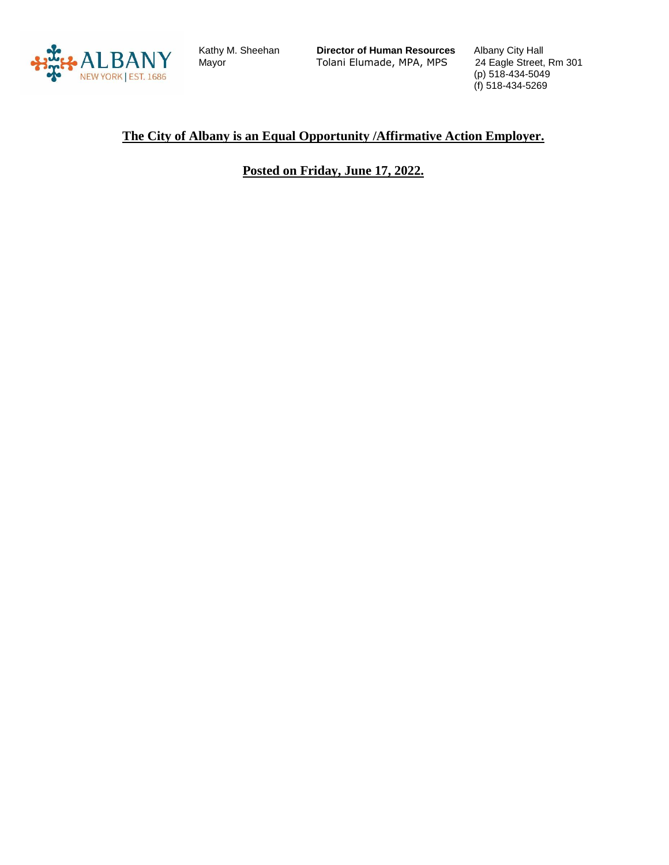

Kathy M. Sheehan

Kathy M. Sheehan **Director of Human Resources** Albany City Hall Tolani Elumade, MPA, MPS

(p) 518-434-5049 (f) 518-434-5269

#### **The City of Albany is an Equal Opportunity /Affirmative Action Employer.**

**Posted on Friday, June 17, 2022.**